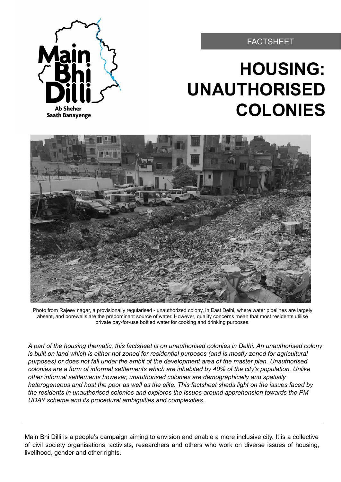#### FACTSHEET

# **HOUSING: UNAUTHORISED COLONIES**



Photo from Rajeev nagar, a provisionally regularised - unauthorized colony, in East Delhi, where water pipelines are largely absent, and borewells are the predominant source of water. However, quality concerns mean that most residents utilise private pay-for-use bottled water for cooking and drinking purposes.

*A part of the housing thematic, this factsheet is on unauthorised colonies in Delhi. An unauthorised colony is built on land which is either not zoned for residential purposes (and is mostly zoned for agricultural purposes) or does not fall under the ambit of the development area of the master plan. Unauthorised colonies are a form of informal settlements which are inhabited by 40% of the city's population. Unlike other informal settlements however, unauthorised colonies are demographically and spatially heterogeneous and host the poor as well as the elite. This factsheet sheds light on the issues faced by the residents in unauthorised colonies and explores the issues around apprehension towards the PM UDAY scheme and its procedural ambiguities and complexities.*

Main Bhi Dilli is a people's campaign aiming to envision and enable a more inclusive city. It is a collective of civil society organisations, activists, researchers and others who work on diverse issues of housing, livelihood, gender and other rights.

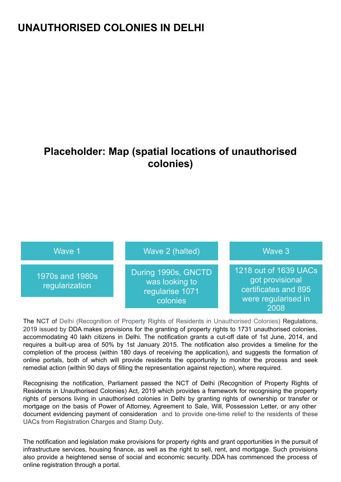## **UNAUTHORISED COLONIES IN DELHI**

## **Placeholder: Map (spatial locations of unauthorised colonies)**



The NCT of Delhi (Recognition of Property Rights of Residents in Unauthorised Colonies) Regulations, 2019 issued by DDA makes provisions for the granting of property rights to 1731 unauthorised colonies, accommodating 40 lakh citizens in Delhi. The notification grants a cut-off date of 1st June, 2014, and requires a built-up area of 50% by 1st January 2015. The notification also provides a timeline for the completion of the process (within 180 days of receiving the application), and suggests the formation of online portals, both of which will provide residents the opportunity to monitor the process and seek remedial action (within 90 days of filling the representation against rejection), where required.

Recognising the notification, Parliament passed the NCT of Delhi (Recognition of Property Rights of Residents in Unauthorised Colonies) Act, 2019 which provides a framework for recognising the property rights of persons living in unauthorised colonies in Delhi by granting rights of ownership or transfer or mortgage on the basis of Power of Attorney, Agreement to Sale, Will, Possession Letter, or any other document evidencing payment of consideration and to provide one-time relief to the residents of these UACs from Registration Charges and Stamp Duty.

The notification and legislation make provisions for property rights and grant opportunities in the pursuit of infrastructure services, housing finance, as well as the right to sell, rent, and mortgage. Such provisions also provide a heightened sense of social and economic security. DDA has commenced the process of online registration through a portal.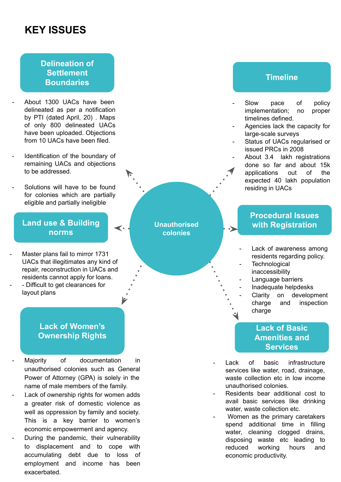## **KEY ISSUES**

#### **Delineation of Settlement Boundaries**

- About 1300 UACs have been delineated as per a notification by PTI (dated April, 20) . Maps of only 800 delineated UACs have been uploaded. Objections from 10 UACs have been filed.
- Identification of the boundary of remaining UACs and objections to be addressed.
- Solutions will have to be found for colonies which are partially eligible and partially ineligible

#### **Land use & Building norms**

- Master plans fail to mirror 1731 UACs that illegitimates any kind of repair, reconstruction in UACs and residents cannot apply for loans.
- Difficult to get clearances for layout plans

#### **Lack of Women's Ownership Rights**

- Majority of documentation in unauthorised colonies such as General Power of Attorney (GPA) is solely in the name of male members of the family.
- Lack of ownership rights for women adds a greater risk of domestic violence as well as oppression by family and society. This is a key barrier to women's economic empowerment and agency.
- During the pandemic, their vulnerability to displacement and to cope with accumulating debt due to loss of employment and income has been exacerbated.

**Unauthorised colonies** 

#### **Timeline**

- Slow pace of policy implementation; no proper timelines defined.
- Agencies lack the capacity for large-scale surveys
- Status of UACs regularised or issued PRCs in 2008
	- About 3.4 lakh registrations done so far and about 15k applications out of the expected 40 lakh population residing in UACs

### **Procedural Issues with Registration**

- Lack of awareness among residents regarding policy.
- **Technological** inaccessibility
	- Language barriers
- Inadequate helpdesks
- Clarity on development charge and inspection charge

#### **Lack of Basic Amenities and Services**

- Lack of basic infrastructure services like water, road, drainage, waste collection etc in low income unauthorised colonies.
- Residents bear additional cost to avail basic services like drinking water, waste collection etc.
- Women as the primary caretakers spend additional time in filling water, cleaning clogged drains, disposing waste etc leading to reduced working hours and economic productivity.